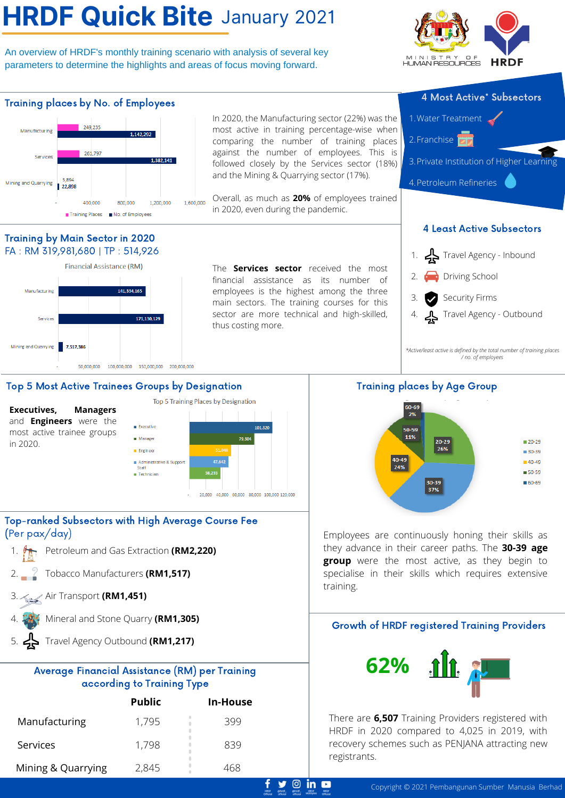# **HRDF Quick Bite** January 2021

An overview of HRDF's monthly training scenario with analysis of several key parameters to determine the highlights and areas of focus moving forward.





 $\circ$  in  $\bullet$ 

#### Top 5 Most Active Trainees Groups by Designation

**Executives, Managers** and **Engineers** were the most active trainee groups in 2020.



### Top-ranked Subsectors with High Average Course Fee (Per pax/day)

- **Petroleum and Gas Extraction (RM2,220)**
- Tobacco Manufacturers **(RM1,517)** 2.
- Air Transport **(RM1,451)** 3.
- Mineral and Stone Quarry **(RM1,305)** 4.
- Travel Agency Outbound **(RM1,217)** 5.

### Average Financial Assistance (RM) per Training according to Training Type

|                    | <b>Public</b> | In-House |
|--------------------|---------------|----------|
| Manufacturing      | 1,795         | 399      |
| Services           | 1,798         | 839      |
| Mining & Quarrying | 2,845         | 468      |

Training places by Age Group



Employees are continuously honing their skills as they advance in their career paths. The **30-39 age group** were the most active, as they begin to specialise in their skills which requires extensive training.

## Growth of HRDF registered Training Providers



There are **6,507** Training Providers registered with HRDF in 2020 compared to 4,025 in 2019, with recovery schemes such as PENJANA attracting new registrants.